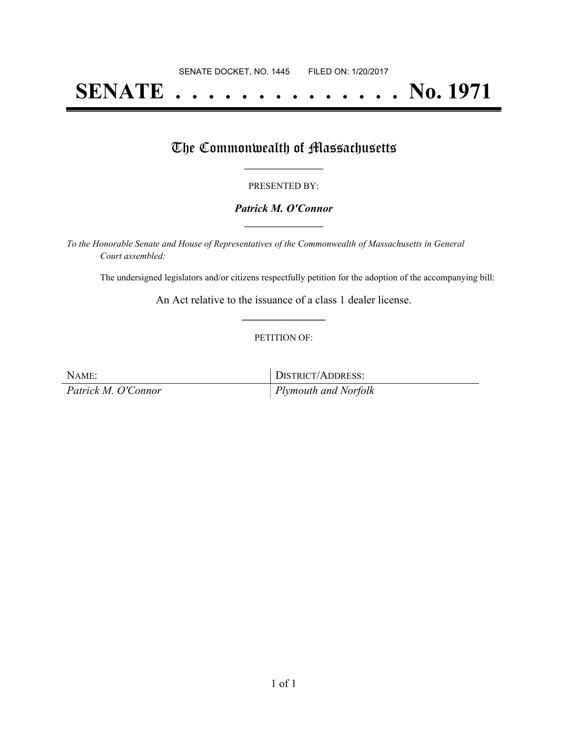# **SENATE . . . . . . . . . . . . . . No. 1971**

## The Commonwealth of Massachusetts

#### PRESENTED BY:

#### *Patrick M. O'Connor* **\_\_\_\_\_\_\_\_\_\_\_\_\_\_\_\_\_**

*To the Honorable Senate and House of Representatives of the Commonwealth of Massachusetts in General Court assembled:*

The undersigned legislators and/or citizens respectfully petition for the adoption of the accompanying bill:

An Act relative to the issuance of a class 1 dealer license. **\_\_\_\_\_\_\_\_\_\_\_\_\_\_\_**

#### PETITION OF:

NAME: DISTRICT/ADDRESS: *Patrick M. O'Connor Plymouth and Norfolk*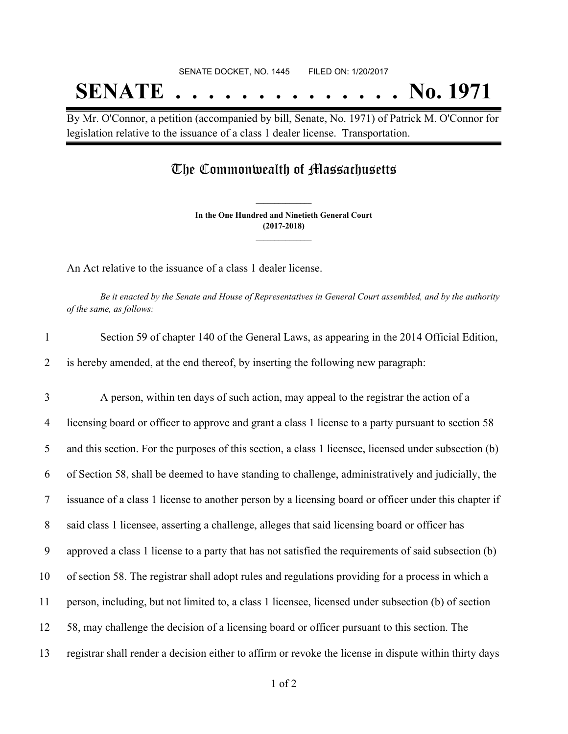# SENATE DOCKET, NO. 1445 FILED ON: 1/20/2017 **SENATE . . . . . . . . . . . . . . No. 1971**

By Mr. O'Connor, a petition (accompanied by bill, Senate, No. 1971) of Patrick M. O'Connor for legislation relative to the issuance of a class 1 dealer license. Transportation.

## The Commonwealth of Massachusetts

**In the One Hundred and Ninetieth General Court (2017-2018) \_\_\_\_\_\_\_\_\_\_\_\_\_\_\_**

**\_\_\_\_\_\_\_\_\_\_\_\_\_\_\_**

An Act relative to the issuance of a class 1 dealer license.

Be it enacted by the Senate and House of Representatives in General Court assembled, and by the authority *of the same, as follows:*

| $\mathbf{1}$   | Section 59 of chapter 140 of the General Laws, as appearing in the 2014 Official Edition,              |
|----------------|--------------------------------------------------------------------------------------------------------|
| 2              | is hereby amended, at the end thereof, by inserting the following new paragraph:                       |
| 3              | A person, within ten days of such action, may appeal to the registrar the action of a                  |
| $\overline{4}$ | licensing board or officer to approve and grant a class 1 license to a party pursuant to section 58    |
| 5              | and this section. For the purposes of this section, a class 1 licensee, licensed under subsection (b)  |
| 6              | of Section 58, shall be deemed to have standing to challenge, administratively and judicially, the     |
| 7              | issuance of a class 1 license to another person by a licensing board or officer under this chapter if  |
| 8              | said class 1 licensee, asserting a challenge, alleges that said licensing board or officer has         |
| 9              | approved a class 1 license to a party that has not satisfied the requirements of said subsection (b)   |
| 10             | of section 58. The registrar shall adopt rules and regulations providing for a process in which a      |
| 11             | person, including, but not limited to, a class 1 licensee, licensed under subsection (b) of section    |
| 12             | 58, may challenge the decision of a licensing board or officer pursuant to this section. The           |
| 13             | registrar shall render a decision either to affirm or revoke the license in dispute within thirty days |
|                |                                                                                                        |